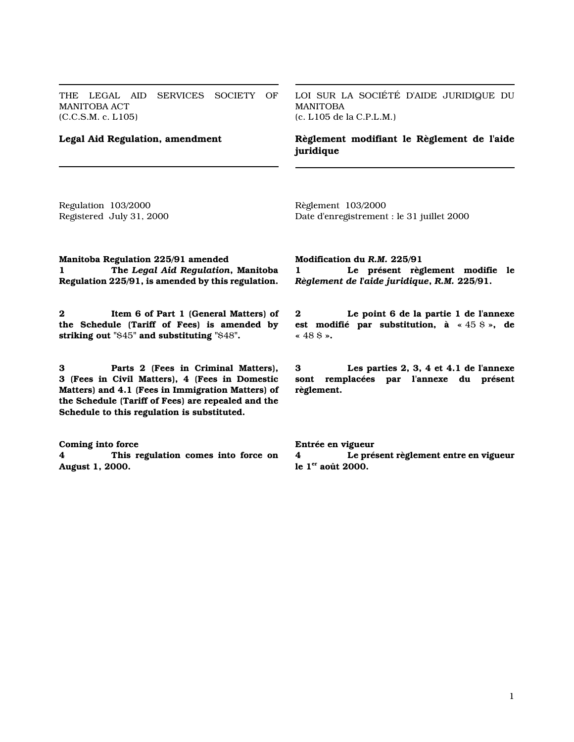THE LEGAL AID SERVICES SOCIETY OF MANITOBA ACT (C.C.S.M. c. L105)

LOI SUR LA SOCIÉTÉ D'AIDE JURIDIQUE DU MANITOBA (c. L105 de la C.P.L.M.)

Legal Aid Regulation, amendment

Règlement modifiant le Règlement de l'aide juridique

Regulation 103/2000 Registered July 31, 2000 Règlement 103/2000 Date d'enregistrement : le 31 juillet 2000

Manitoba Regulation 225/91 amended 1 The Legal Aid Regulation, Manitoba Regulation 225/91, is amended by this regulation. Modification du R.M. 225/91 1 Le présent règlement modifie le Règlement de l'aide juridique, R.M. 225/91. 2 Item 6 of Part 1 (General Matters) of the Schedule (Tariff of Fees) is amended by striking out "\$45" and substituting "\$48". 2 Le point 6 de la partie 1 de l'annexe est modifié par substitution, à « 45 \$ », de « 48 \$ ». 3 Parts 2 (Fees in Criminal Matters), 3 (Fees in Civil Matters), 4 (Fees in Domestic Matters) and 4.1 (Fees in Immigration Matters) of the Schedule (Tariff of Fees) are repealed and the Schedule to this regulation is substituted. 3 Les parties 2, 3, 4 et 4.1 de l'annexe sont remplacées par l'annexe du présent règlement.

Coming into force

4 This regulation comes into force on August 1, 2000.

Entrée en vigueur 4 Le présent règlement entre en vigueur le  $1<sup>er</sup>$  août 2000.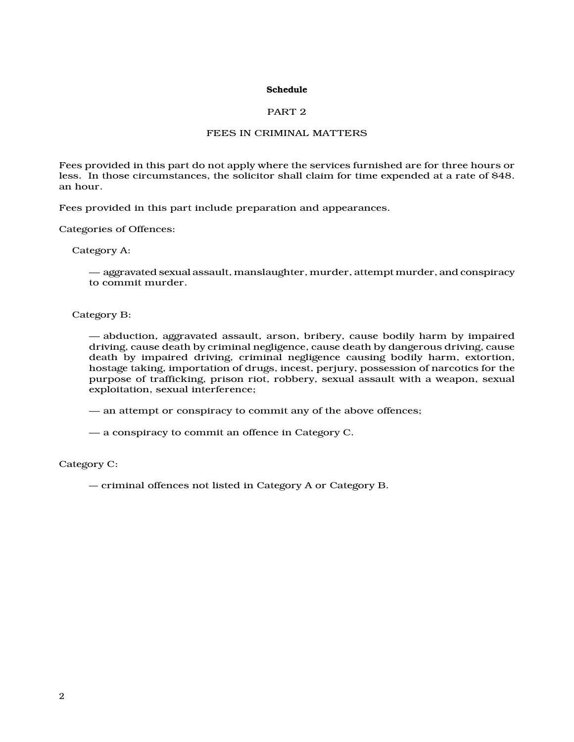#### Schedule

#### PART 2

### FEES IN CRIMINAL MATTERS

Fees provided in this part do not apply where the services furnished are for three hours or less. In those circumstances, the solicitor shall claim for time expended at a rate of \$48. an hour.

Fees provided in this part include preparation and appearances.

Categories of Offences:

Category A:

— aggravated sexual assault, manslaughter, murder, attempt murder, and conspiracy to commit murder.

Category B:

— abduction, aggravated assault, arson, bribery, cause bodily harm by impaired driving, cause death by criminal negligence, cause death by dangerous driving, cause death by impaired driving, criminal negligence causing bodily harm, extortion, hostage taking, importation of drugs, incest, perjury, possession of narcotics for the purpose of trafficking, prison riot, robbery, sexual assault with a weapon, sexual exploitation, sexual interference;

— an attempt or conspiracy to commit any of the above offences;

— a conspiracy to commit an offence in Category C.

Category C:

— criminal offences not listed in Category A or Category B.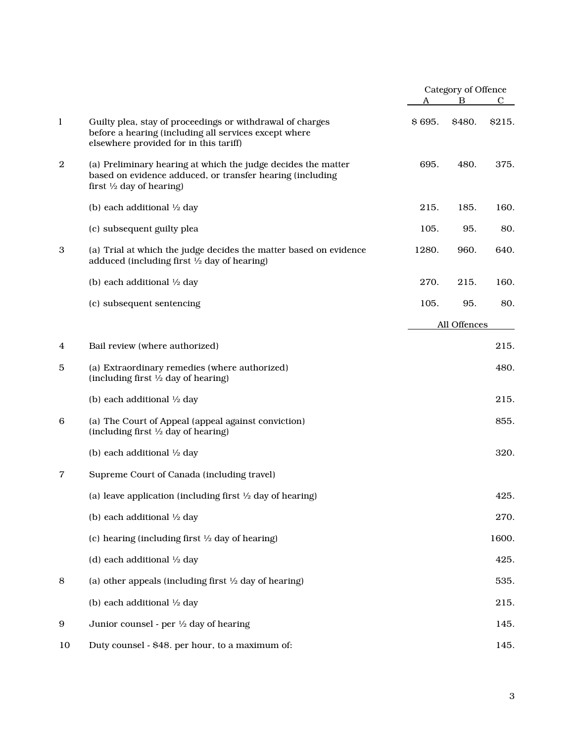|                  |                                                                                                                                                                   |        | Category of Offence<br>B<br>A |             |
|------------------|-------------------------------------------------------------------------------------------------------------------------------------------------------------------|--------|-------------------------------|-------------|
|                  |                                                                                                                                                                   |        |                               | $\mathbf C$ |
| $\mathbf{l}$     | Guilty plea, stay of proceedings or withdrawal of charges<br>before a hearing (including all services except where<br>elsewhere provided for in this tariff)      | \$695. | \$480.                        | \$215.      |
| $\boldsymbol{2}$ | (a) Preliminary hearing at which the judge decides the matter<br>based on evidence adduced, or transfer hearing (including<br>first $\frac{1}{2}$ day of hearing) | 695.   | 480.                          | 375.        |
|                  | (b) each additional $\frac{1}{2}$ day                                                                                                                             | 215.   | 185.                          | 160.        |
|                  | (c) subsequent guilty plea                                                                                                                                        | 105.   | 95.                           | 80.         |
| 3                | (a) Trial at which the judge decides the matter based on evidence<br>adduced (including first $\frac{1}{2}$ day of hearing)                                       | 1280.  | 960.                          | 640.        |
|                  | (b) each additional $\frac{1}{2}$ day                                                                                                                             | 270.   | 215.                          | 160.        |
|                  | (c) subsequent sentencing                                                                                                                                         | 105.   | 95.                           | 80.         |
|                  |                                                                                                                                                                   |        | All Offences                  |             |
| 4                | Bail review (where authorized)                                                                                                                                    |        |                               | 215.        |
| 5                | (a) Extraordinary remedies (where authorized)<br>(including first $\frac{1}{2}$ day of hearing)                                                                   |        |                               | 480.        |
|                  | (b) each additional 1/2 day                                                                                                                                       |        |                               | 215.        |
| 6                | (a) The Court of Appeal (appeal against conviction)<br>(including first $\frac{1}{2}$ day of hearing)                                                             |        |                               | 855.        |
|                  | (b) each additional 1/2 day                                                                                                                                       |        |                               | 320.        |
| 7                | Supreme Court of Canada (including travel)                                                                                                                        |        |                               |             |
|                  | (a) leave application (including first $\frac{1}{2}$ day of hearing)                                                                                              |        |                               | 425.        |
|                  | (b) each additional 1/2 day                                                                                                                                       |        |                               | 270.        |
|                  | (c) hearing (including first $\frac{1}{2}$ day of hearing)                                                                                                        |        |                               | 1600.       |
|                  | (d) each additional 1/2 day                                                                                                                                       |        |                               | 425.        |
| 8                | (a) other appeals (including first $\frac{1}{2}$ day of hearing)                                                                                                  |        |                               | 535.        |
|                  | (b) each additional $\frac{1}{2}$ day                                                                                                                             |        |                               | 215.        |
| 9                | Junior counsel - per $\frac{1}{2}$ day of hearing                                                                                                                 |        |                               | 145.        |
| 10               | Duty counsel - \$48. per hour, to a maximum of:                                                                                                                   |        |                               | 145.        |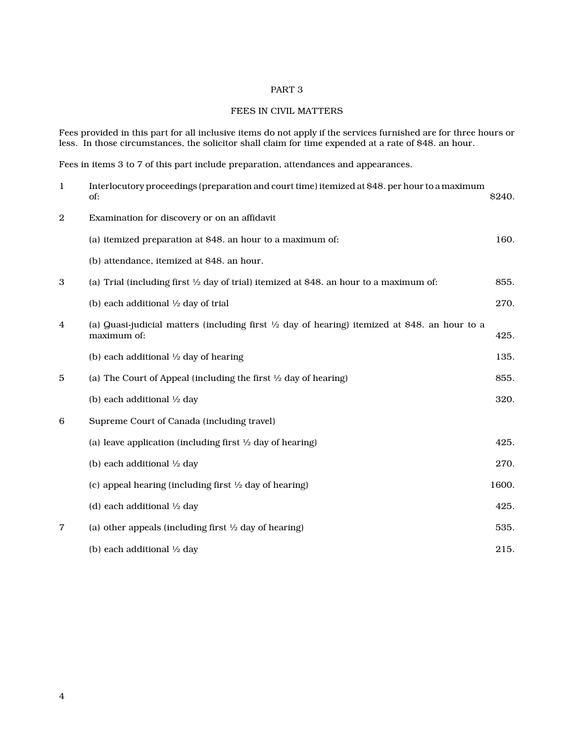## PART 3

# FEES IN CIVIL MATTERS

Fees provided in this part for all inclusive items do not apply if the services furnished are for three hours or less. In those circumstances, the solicitor shall claim for time expended at a rate of \$48. an hour.

Fees in items 3 to 7 of this part include preparation, attendances and appearances.

| $\mathbf{1}$ | Interlocutory proceedings (preparation and court time) itemized at \$48, per hour to a maximum<br>of:                   | <b>S240.</b> |
|--------------|-------------------------------------------------------------------------------------------------------------------------|--------------|
| $\mathbf{2}$ | Examination for discovery or on an affidavit                                                                            |              |
|              | (a) itemized preparation at \$48. an hour to a maximum of:                                                              | 160.         |
|              | (b) attendance, itemized at \$48. an hour.                                                                              |              |
| 3            | (a) Trial (including first $\frac{1}{2}$ day of trial) itemized at \$48. an hour to a maximum of:                       | 855.         |
|              | (b) each additional $\frac{1}{2}$ day of trial                                                                          | 270.         |
| 4            | (a) Quasi-judicial matters (including first $\frac{1}{2}$ day of hearing) itemized at \$48. an hour to a<br>maximum of: | 425.         |
|              | (b) each additional $\frac{1}{2}$ day of hearing                                                                        | 135.         |
| 5            | (a) The Court of Appeal (including the first $\frac{1}{2}$ day of hearing)                                              | 855.         |
|              | (b) each additional 1/2 day                                                                                             | 320.         |
| 6            | Supreme Court of Canada (including travel)                                                                              |              |
|              | (a) leave application (including first $\frac{1}{2}$ day of hearing)                                                    | 425.         |
|              | (b) each additional 1/2 day                                                                                             | 270.         |
|              | (c) appeal hearing (including first $\frac{1}{2}$ day of hearing)                                                       | 1600.        |
|              | (d) each additional 1/2 day                                                                                             | 425.         |
| 7            | (a) other appeals (including first $\frac{1}{2}$ day of hearing)                                                        | 535.         |
|              | (b) each additional $\frac{1}{2}$ day                                                                                   | 215.         |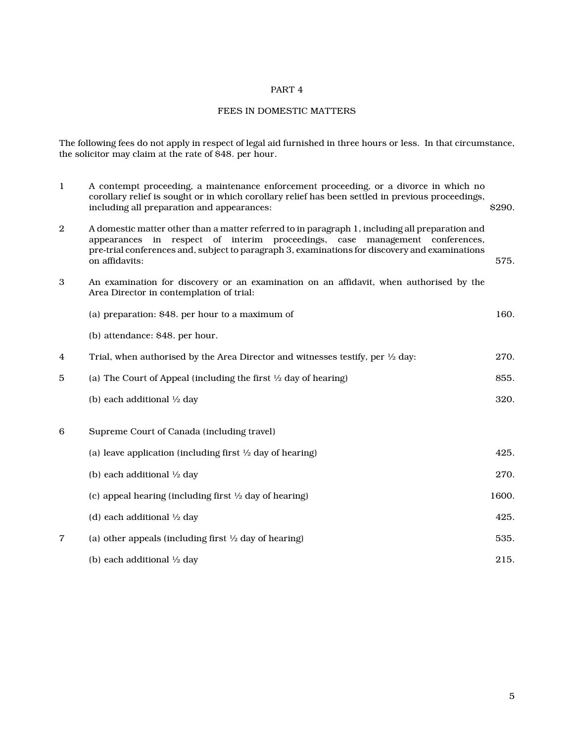## PART 4

# FEES IN DOMESTIC MATTERS

The following fees do not apply in respect of legal aid furnished in three hours or less. In that circumstance, the solicitor may claim at the rate of \$48. per hour.

| $\mathbf{1}$   | A contempt proceeding, a maintenance enforcement proceeding, or a divorce in which no<br>corollary relief is sought or in which corollary relief has been settled in previous proceedings,<br>including all preparation and appearances:                                                           | \$290. |
|----------------|----------------------------------------------------------------------------------------------------------------------------------------------------------------------------------------------------------------------------------------------------------------------------------------------------|--------|
| $\overline{2}$ | A domestic matter other than a matter referred to in paragraph 1, including all preparation and<br>appearances in respect of interim proceedings, case management conferences,<br>pre-trial conferences and, subject to paragraph 3, examinations for discovery and examinations<br>on affidavits: | 575.   |
| 3              | An examination for discovery or an examination on an affidavit, when authorised by the<br>Area Director in contemplation of trial:                                                                                                                                                                 |        |
|                | (a) preparation: \$48. per hour to a maximum of                                                                                                                                                                                                                                                    | 160.   |
|                | (b) attendance: \$48. per hour.                                                                                                                                                                                                                                                                    |        |
| 4              | Trial, when authorised by the Area Director and witnesses testify, per $\frac{1}{2}$ day:                                                                                                                                                                                                          | 270.   |
| 5              | (a) The Court of Appeal (including the first $\frac{1}{2}$ day of hearing)                                                                                                                                                                                                                         | 855.   |
|                | (b) each additional 1/2 day                                                                                                                                                                                                                                                                        | 320.   |
| 6              | Supreme Court of Canada (including travel)                                                                                                                                                                                                                                                         |        |
|                | (a) leave application (including first $\frac{1}{2}$ day of hearing)                                                                                                                                                                                                                               | 425.   |
|                | (b) each additional 1/2 day                                                                                                                                                                                                                                                                        | 270.   |
|                | (c) appeal hearing (including first $\frac{1}{2}$ day of hearing)                                                                                                                                                                                                                                  | 1600.  |
|                | (d) each additional $\frac{1}{2}$ day                                                                                                                                                                                                                                                              | 425.   |
| $\overline{7}$ | (a) other appeals (including first $\frac{1}{2}$ day of hearing)                                                                                                                                                                                                                                   | 535.   |
|                | (b) each additional $\frac{1}{2}$ day                                                                                                                                                                                                                                                              | 215.   |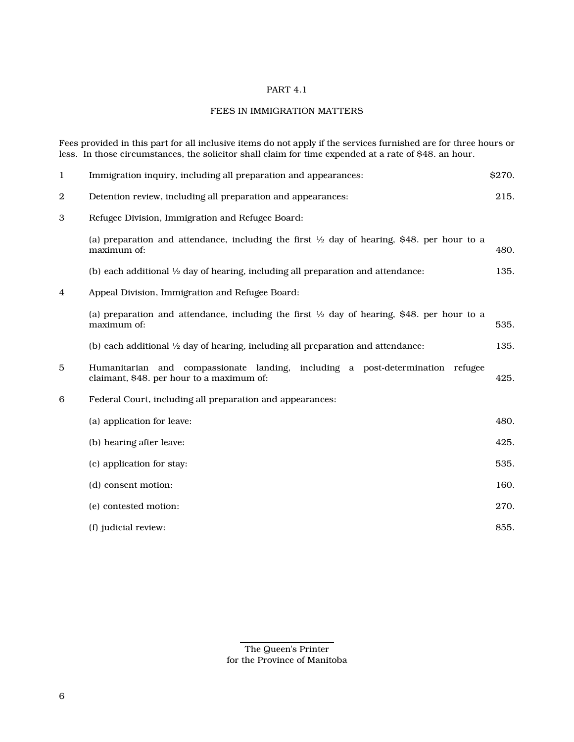# PART 4.1

# FEES IN IMMIGRATION MATTERS

Fees provided in this part for all inclusive items do not apply if the services furnished are for three hours or less. In those circumstances, the solicitor shall claim for time expended at a rate of \$48. an hour.

| $\mathbf{1}$     | Immigration inquiry, including all preparation and appearances:                                                             | \$270. |
|------------------|-----------------------------------------------------------------------------------------------------------------------------|--------|
| $\boldsymbol{2}$ | Detention review, including all preparation and appearances:                                                                | 215.   |
| 3                | Refugee Division, Immigration and Refugee Board:                                                                            |        |
|                  | (a) preparation and attendance, including the first $\frac{1}{2}$ day of hearing, \$48. per hour to a<br>maximum of:        | 480.   |
|                  | (b) each additional $\frac{1}{2}$ day of hearing, including all preparation and attendance:                                 | 135.   |
| 4                | Appeal Division, Immigration and Refugee Board:                                                                             |        |
|                  | (a) preparation and attendance, including the first $\frac{1}{2}$ day of hearing, \$48. per hour to a<br>maximum of:        | 535.   |
|                  | (b) each additional $\frac{1}{2}$ day of hearing, including all preparation and attendance:                                 | 135.   |
| 5                | Humanitarian and compassionate landing, including a post-determination refugee<br>claimant, \$48. per hour to a maximum of: | 425.   |
| 6                | Federal Court, including all preparation and appearances:                                                                   |        |
|                  | (a) application for leave:                                                                                                  | 480.   |
|                  | (b) hearing after leave:                                                                                                    | 425.   |
|                  | (c) application for stay:                                                                                                   | 535.   |
|                  | (d) consent motion:                                                                                                         | 160.   |
|                  | (e) contested motion:                                                                                                       | 270.   |
|                  | (f) judicial review:                                                                                                        | 855.   |

The Queen's Printer for the Province of Manitoba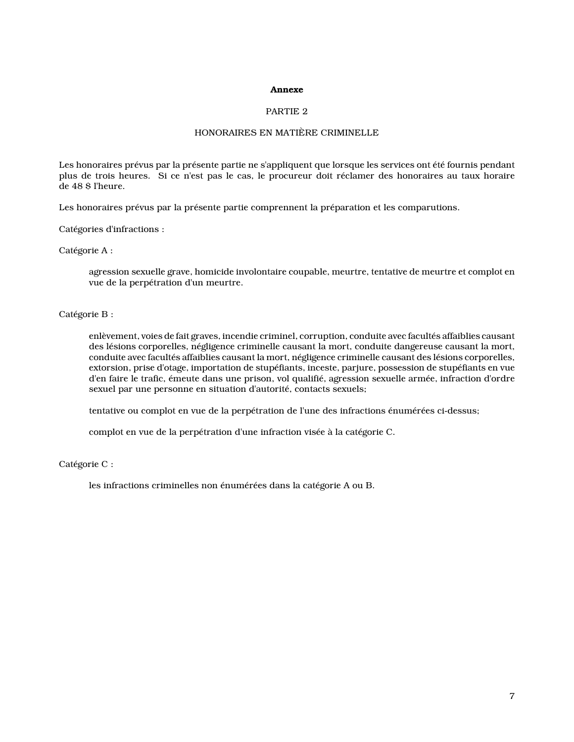#### Annexe

#### PARTIE 2

# HONORAIRES EN MATIÈRE CRIMINELLE

Les honoraires prévus par la présente partie ne s'appliquent que lorsque les services ont été fournis pendant plus de trois heures. Si ce n'est pas le cas, le procureur doit réclamer des honoraires au taux horaire de 48 \$ l'heure.

Les honoraires prévus par la présente partie comprennent la préparation et les comparutions.

Catégories d'infractions :

Catégorie A :

agression sexuelle grave, homicide involontaire coupable, meurtre, tentative de meurtre et complot en vue de la perpétration d'un meurtre.

Catégorie B :

enlèvement, voies de fait graves, incendie criminel, corruption, conduite avec facultés affaiblies causant des lésions corporelles, négligence criminelle causant la mort, conduite dangereuse causant la mort, conduite avec facultés affaiblies causant la mort, négligence criminelle causant des lésions corporelles, extorsion, prise d'otage, importation de stupéfiants, inceste, parjure, possession de stupéfiants en vue d'en faire le trafic, émeute dans une prison, vol qualifié, agression sexuelle armée, infraction d'ordre sexuel par une personne en situation d'autorité, contacts sexuels;

tentative ou complot en vue de la perpétration de l'une des infractions énumérées ci-dessus;

complot en vue de la perpétration d'une infraction visée à la catégorie C.

Catégorie C :

les infractions criminelles non énumérées dans la catégorie A ou B.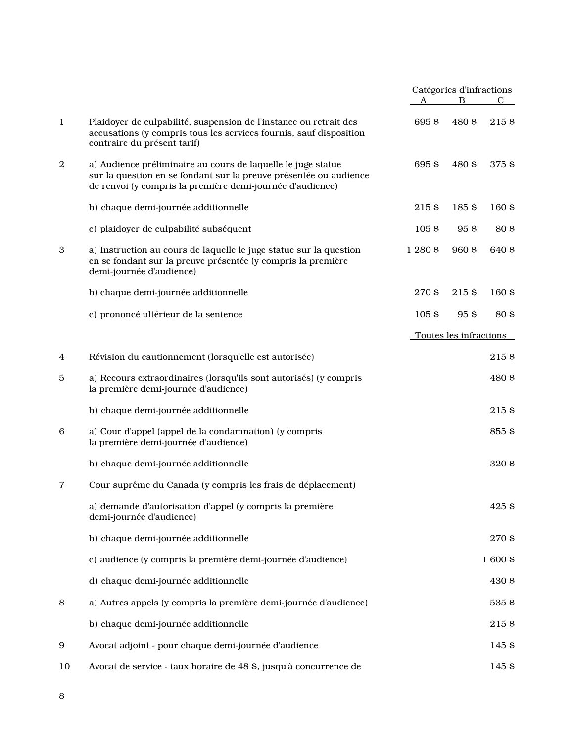|                  |                                                                                                                                                                                                |                  | Catégories d'infractions<br>B<br>A |        |
|------------------|------------------------------------------------------------------------------------------------------------------------------------------------------------------------------------------------|------------------|------------------------------------|--------|
|                  |                                                                                                                                                                                                |                  |                                    | C.     |
| $\mathbf{1}$     | Plaidoyer de culpabilité, suspension de l'instance ou retrait des<br>accusations (y compris tous les services fournis, sauf disposition<br>contraire du présent tarif)                         | 695\$            | 480 S                              | 215\$  |
| $\boldsymbol{2}$ | a) Audience préliminaire au cours de laquelle le juge statue<br>sur la question en se fondant sur la preuve présentée ou audience<br>de renvoi (y compris la première demi-journée d'audience) | 695\$            | 480 \$                             | 375 \$ |
|                  | b) chaque demi-journée additionnelle                                                                                                                                                           | 215\$            | 185\$                              | 160\$  |
|                  | c) plaidoyer de culpabilité subséquent                                                                                                                                                         | 105 <sub>5</sub> | 95 S                               | 80\$   |
| 3                | a) Instruction au cours de laquelle le juge statue sur la question<br>en se fondant sur la preuve présentée (y compris la première<br>demi-journée d'audience)                                 | 1 280 \$         | 960\$                              | 640 \$ |
|                  | b) chaque demi-journée additionnelle                                                                                                                                                           | 270\$            | 215\$                              | 160\$  |
|                  | c) prononcé ultérieur de la sentence                                                                                                                                                           | 105 <sub>5</sub> | 95 S                               | 80\$   |
|                  |                                                                                                                                                                                                |                  | Toutes les infractions             |        |
| 4                | Révision du cautionnement (lorsqu'elle est autorisée)                                                                                                                                          |                  |                                    | 215\$  |
| 5                | a) Recours extraordinaires (lorsqu'ils sont autorisés) (y compris<br>la première demi-journée d'audience)                                                                                      |                  |                                    | 480 \$ |
|                  | b) chaque demi-journée additionnelle                                                                                                                                                           |                  |                                    | 215\$  |
| 6                | a) Cour d'appel (appel de la condamnation) (y compris<br>la première demi-journée d'audience)                                                                                                  |                  |                                    | 855 S  |
|                  | b) chaque demi-journée additionnelle                                                                                                                                                           |                  |                                    | 320\$  |
| 7                | Cour suprême du Canada (y compris les frais de déplacement)                                                                                                                                    |                  |                                    |        |
|                  | a) demande d'autorisation d'appel (y compris la première<br>demi-journée d'audience)                                                                                                           |                  |                                    | 425\$  |
|                  | b) chaque demi-journée additionnelle                                                                                                                                                           |                  |                                    | 270\$  |
|                  | c) audience (y compris la première demi-journée d'audience)                                                                                                                                    |                  |                                    | 1600\$ |
|                  | d) chaque demi-journée additionnelle                                                                                                                                                           |                  |                                    | 430 \$ |
| 8                | a) Autres appels (y compris la première demi-journée d'audience)                                                                                                                               |                  |                                    | 535\$  |
|                  | b) chaque demi-journée additionnelle                                                                                                                                                           |                  |                                    | 215\$  |
| 9                | Avocat adjoint - pour chaque demi-journée d'audience                                                                                                                                           |                  |                                    | 145 \$ |
| 10               | Avocat de service - taux horaire de 48 \$, jusqu'à concurrence de                                                                                                                              |                  |                                    | 145\$  |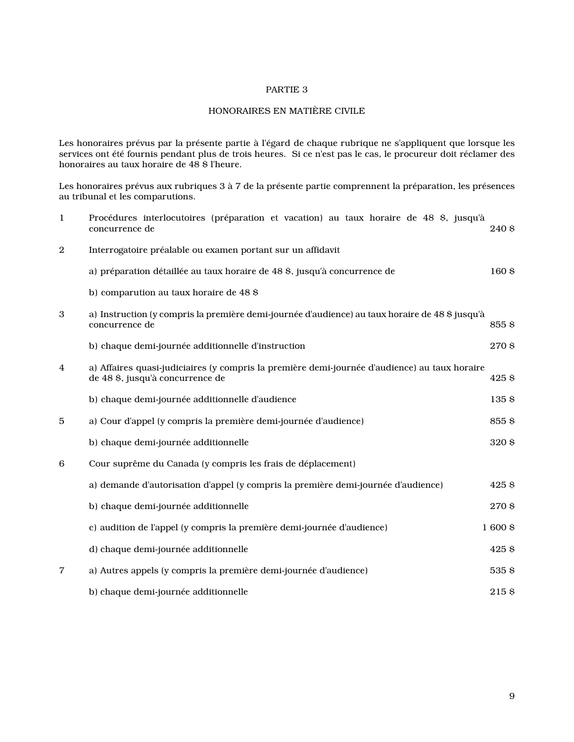## PARTIE 3

# HONORAIRES EN MATIÈRE CIVILE

Les honoraires prévus par la présente partie à l'égard de chaque rubrique ne s'appliquent que lorsque les services ont été fournis pendant plus de trois heures. Si ce n'est pas le cas, le procureur doit réclamer des honoraires au taux horaire de 48 \$ l'heure.

Les honoraires prévus aux rubriques 3 à 7 de la présente partie comprennent la préparation, les présences au tribunal et les comparutions.

| -1             | Procédures interlocutoires (préparation et vacation) au taux horaire de 48 \$, jusqu'à<br>concurrence de                          | 240 S  |
|----------------|-----------------------------------------------------------------------------------------------------------------------------------|--------|
| $\overline{2}$ | Interrogatoire préalable ou examen portant sur un affidavit                                                                       |        |
|                | a) préparation détaillée au taux horaire de 48 \$, jusqu'à concurrence de                                                         | 160\$  |
|                | b) comparution au taux horaire de 48 \$                                                                                           |        |
| 3              | a) Instruction (y compris la première demi-journée d'audience) au taux horaire de 48 \$ jusqu'à<br>concurrence de                 | 855\$  |
|                | b) chaque demi-journée additionnelle d'instruction                                                                                | 270 \$ |
| $\overline{4}$ | a) Affaires quasi-judiciaires (y compris la première demi-journée d'audience) au taux horaire<br>de 48 \$, jusqu'à concurrence de | 425\$  |
|                | b) chaque demi-journée additionnelle d'audience                                                                                   | 135 \$ |
| 5              | a) Cour d'appel (y compris la première demi-journée d'audience)                                                                   | 855\$  |
|                | b) chaque demi-journée additionnelle                                                                                              | 320\$  |
| 6              | Cour suprême du Canada (y compris les frais de déplacement)                                                                       |        |
|                | a) demande d'autorisation d'appel (y compris la première demi-journée d'audience)                                                 | 425\$  |
|                | b) chaque demi-journée additionnelle                                                                                              | 270 \$ |
|                | c) audition de l'appel (y compris la première demi-journée d'audience)                                                            | 1600\$ |
|                | d) chaque demi-journée additionnelle                                                                                              | 425\$  |
| 7              | a) Autres appels (y compris la première demi-journée d'audience)                                                                  | 535\$  |
|                | b) chaque demi-journée additionnelle                                                                                              | 215\$  |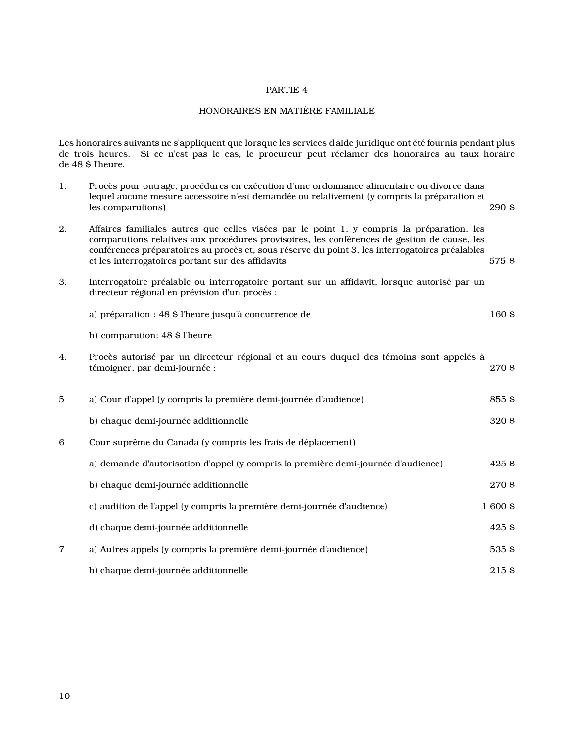## PARTIE 4

# HONORAIRES EN MATIÈRE FAMILIALE

Les honoraires suivants ne s'appliquent que lorsque les services d'aide juridique ont été fournis pendant plus de trois heures. Si ce n'est pas le cas, le procureur peut réclamer des honoraires au taux horaire de 48 \$ l'heure.

| 1. | Procès pour outrage, procédures en exécution d'une ordonnance alimentaire ou divorce dans<br>lequel aucune mesure accessoire n'est demandée ou relativement (y compris la préparation et<br>les comparutions)                                                                                                                                     | 290 \$ |
|----|---------------------------------------------------------------------------------------------------------------------------------------------------------------------------------------------------------------------------------------------------------------------------------------------------------------------------------------------------|--------|
| 2. | Affaires familiales autres que celles visées par le point 1, y compris la préparation, les<br>comparutions relatives aux procédures provisoires, les conférences de gestion de cause, les<br>conférences préparatoires au procès et, sous réserve du point 3, les interrogatoires préalables<br>et les interrogatoires portant sur des affidavits | 575 S  |
| 3. | Interrogatoire préalable ou interrogatoire portant sur un affidavit, lorsque autorisé par un<br>directeur régional en prévision d'un procès :                                                                                                                                                                                                     |        |
|    | a) préparation : 48 \$ l'heure jusqu'à concurrence de                                                                                                                                                                                                                                                                                             | 160\$  |
|    | b) comparution: 48 \$ l'heure                                                                                                                                                                                                                                                                                                                     |        |
| 4. | Procès autorisé par un directeur régional et au cours duquel des témoins sont appelés à<br>témoigner, par demi-journée :                                                                                                                                                                                                                          | 270 \$ |
| 5  | a) Cour d'appel (y compris la première demi-journée d'audience)                                                                                                                                                                                                                                                                                   | 855\$  |
|    | b) chaque demi-journée additionnelle                                                                                                                                                                                                                                                                                                              | 320\$  |
| 6  | Cour suprême du Canada (y compris les frais de déplacement)                                                                                                                                                                                                                                                                                       |        |
|    | a) demande d'autorisation d'appel (y compris la première demi-journée d'audience)                                                                                                                                                                                                                                                                 | 425\$  |
|    | b) chaque demi-journée additionnelle                                                                                                                                                                                                                                                                                                              | 270\$  |
|    | c) audition de l'appel (y compris la première demi-journée d'audience)                                                                                                                                                                                                                                                                            | 1600\$ |
|    | d) chaque demi-journée additionnelle                                                                                                                                                                                                                                                                                                              | 425\$  |
| 7  | a) Autres appels (y compris la première demi-journée d'audience)                                                                                                                                                                                                                                                                                  | 535\$  |
|    | b) chaque demi-journée additionnelle                                                                                                                                                                                                                                                                                                              | 215\$  |